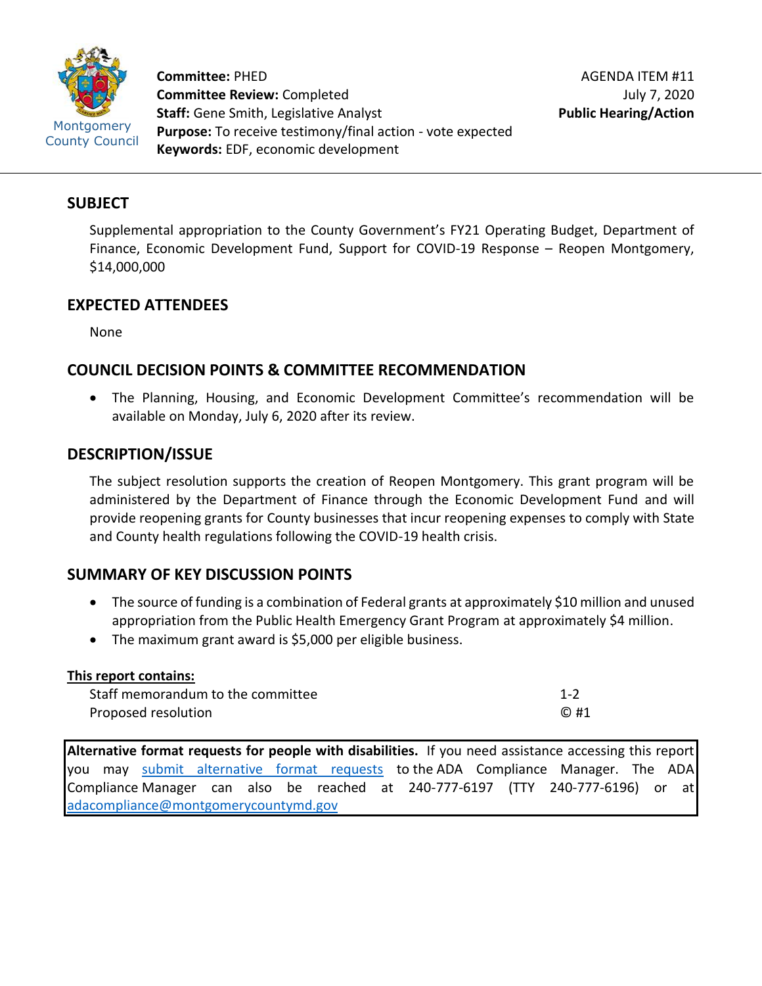

**Committee:** PHED **Committee Review:** Completed **Staff:** Gene Smith, Legislative Analyst **Purpose:** To receive testimony/final action - vote expected **Keywords:** EDF, economic development

### **SUBJECT**

Supplemental appropriation to the County Government's FY21 Operating Budget, Department of Finance, Economic Development Fund, Support for COVID-19 Response – Reopen Montgomery, \$14,000,000

## **EXPECTED ATTENDEES**

None

# **COUNCIL DECISION POINTS & COMMITTEE RECOMMENDATION**

• The Planning, Housing, and Economic Development Committee's recommendation will be available on Monday, July 6, 2020 after its review.

# **DESCRIPTION/ISSUE**

The subject resolution supports the creation of Reopen Montgomery. This grant program will be administered by the Department of Finance through the Economic Development Fund and will provide reopening grants for County businesses that incur reopening expenses to comply with State and County health regulations following the COVID-19 health crisis.

# **SUMMARY OF KEY DISCUSSION POINTS**

- The source of funding is a combination of Federal grants at approximately \$10 million and unused appropriation from the Public Health Emergency Grant Program at approximately \$4 million.
- The maximum grant award is \$5,000 per eligible business.

| This report contains:             |            |
|-----------------------------------|------------|
| Staff memorandum to the committee | $1 - 2$    |
| Proposed resolution               | $\odot$ #1 |

**Alternative format requests for people with disabilities.** If you need assistance accessing this report you may [submit alternative format requests](https://gcc01.safelinks.protection.outlook.com/?url=http%3A%2F%2Fwww2.montgomerycountymd.gov%2Fmcgportalapps%2FAccessibilityForm.aspx&data=02%7C01%7Csandra.marin%40montgomerycountymd.gov%7C79d44e803a8846df027008d6ad4e4d1b%7C6e01b1f9b1e54073ac97778069a0ad64%7C0%7C0%7C636886950086244453&sdata=AT2lwLz22SWBJ8c92gXfspY8lQVeGCrUbqSPzpYheB0%3D&reserved=0) to the ADA Compliance Manager. The ADA Compliance Manager can also be reached at 240-777-6197 (TTY 240-777-6196) or at [adacompliance@montgomerycountymd.gov](mailto:adacompliance@montgomerycountymd.gov)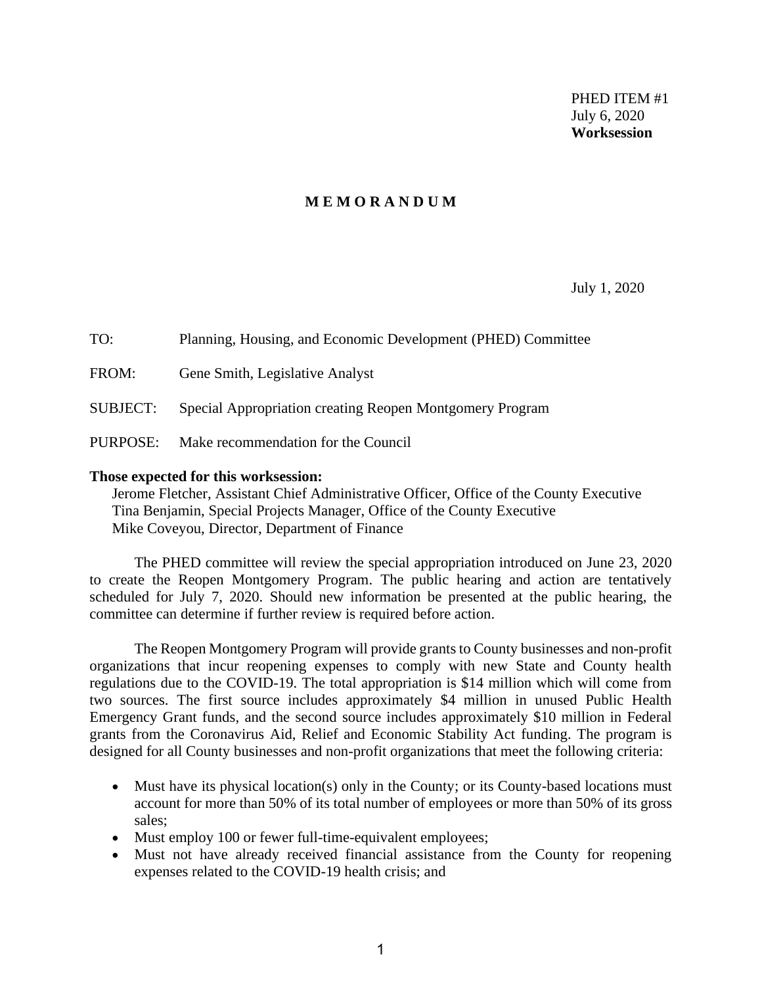PHED ITEM #1 July 6, 2020 **Worksession**

#### **M E M O R A N D U M**

July 1, 2020

| TO:             | Planning, Housing, and Economic Development (PHED) Committee |
|-----------------|--------------------------------------------------------------|
| FROM:           | Gene Smith, Legislative Analyst                              |
| <b>SUBJECT:</b> | Special Appropriation creating Reopen Montgomery Program     |
| PURPOSE:        | Make recommendation for the Council                          |

#### **Those expected for this worksession:**

Jerome Fletcher, Assistant Chief Administrative Officer, Office of the County Executive Tina Benjamin, Special Projects Manager, Office of the County Executive Mike Coveyou, Director, Department of Finance

The PHED committee will review the special appropriation introduced on June 23, 2020 to create the Reopen Montgomery Program. The public hearing and action are tentatively scheduled for July 7, 2020. Should new information be presented at the public hearing, the committee can determine if further review is required before action.

The Reopen Montgomery Program will provide grants to County businesses and non-profit organizations that incur reopening expenses to comply with new State and County health regulations due to the COVID-19. The total appropriation is \$14 million which will come from two sources. The first source includes approximately \$4 million in unused Public Health Emergency Grant funds, and the second source includes approximately \$10 million in Federal grants from the Coronavirus Aid, Relief and Economic Stability Act funding. The program is designed for all County businesses and non-profit organizations that meet the following criteria:

- Must have its physical location(s) only in the County; or its County-based locations must account for more than 50% of its total number of employees or more than 50% of its gross sales;
- Must employ 100 or fewer full-time-equivalent employees;
- Must not have already received financial assistance from the County for reopening expenses related to the COVID-19 health crisis; and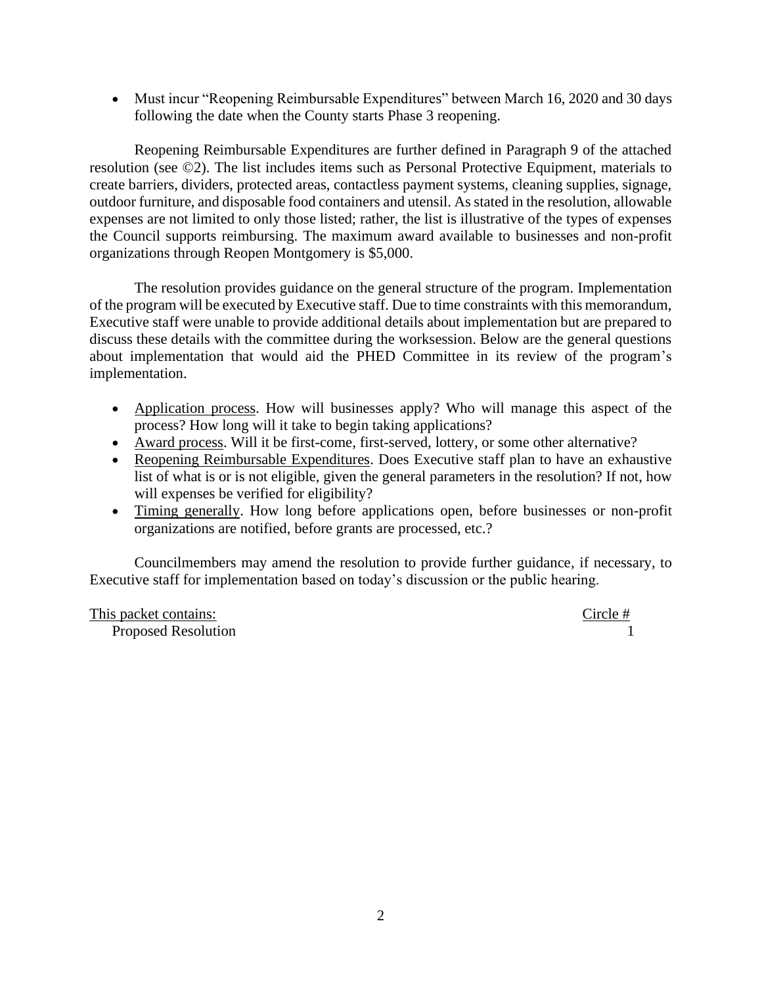• Must incur "Reopening Reimbursable Expenditures" between March 16, 2020 and 30 days following the date when the County starts Phase 3 reopening.

Reopening Reimbursable Expenditures are further defined in Paragraph 9 of the attached resolution (see ©2). The list includes items such as Personal Protective Equipment, materials to create barriers, dividers, protected areas, contactless payment systems, cleaning supplies, signage, outdoor furniture, and disposable food containers and utensil. As stated in the resolution, allowable expenses are not limited to only those listed; rather, the list is illustrative of the types of expenses the Council supports reimbursing. The maximum award available to businesses and non-profit organizations through Reopen Montgomery is \$5,000.

The resolution provides guidance on the general structure of the program. Implementation of the program will be executed by Executive staff. Due to time constraints with this memorandum, Executive staff were unable to provide additional details about implementation but are prepared to discuss these details with the committee during the worksession. Below are the general questions about implementation that would aid the PHED Committee in its review of the program's implementation.

- Application process. How will businesses apply? Who will manage this aspect of the process? How long will it take to begin taking applications?
- Award process. Will it be first-come, first-served, lottery, or some other alternative?
- Reopening Reimbursable Expenditures. Does Executive staff plan to have an exhaustive list of what is or is not eligible, given the general parameters in the resolution? If not, how will expenses be verified for eligibility?
- Timing generally. How long before applications open, before businesses or non-profit organizations are notified, before grants are processed, etc.?

Councilmembers may amend the resolution to provide further guidance, if necessary, to Executive staff for implementation based on today's discussion or the public hearing.

This packet contains:<br>
Decoded Possibility Represent Possibility Represents the property of the Circle # Proposed Resolution 1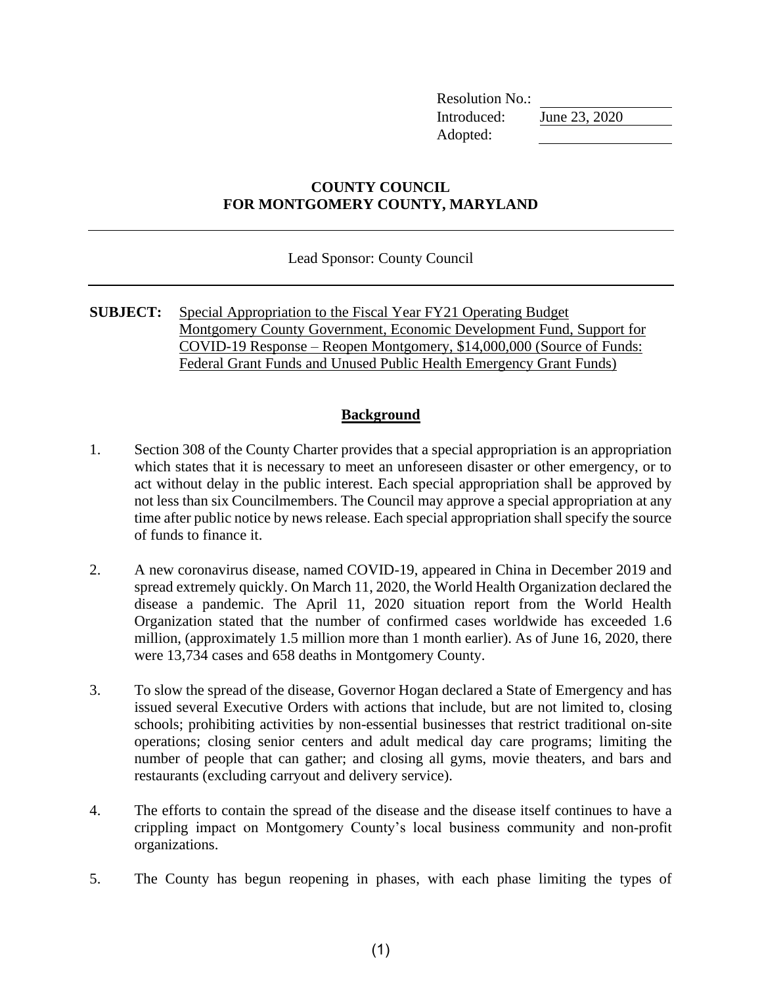Resolution No.: Introduced: June 23, 2020 Adopted:

### **COUNTY COUNCIL FOR MONTGOMERY COUNTY, MARYLAND**

Lead Sponsor: County Council

**SUBJECT:** Special Appropriation to the Fiscal Year FY21 Operating Budget Montgomery County Government, Economic Development Fund, Support for COVID-19 Response – Reopen Montgomery, \$14,000,000 (Source of Funds: Federal Grant Funds and Unused Public Health Emergency Grant Funds)

### **Background**

- 1. Section 308 of the County Charter provides that a special appropriation is an appropriation which states that it is necessary to meet an unforeseen disaster or other emergency, or to act without delay in the public interest. Each special appropriation shall be approved by not less than six Councilmembers. The Council may approve a special appropriation at any time after public notice by news release. Each special appropriation shall specify the source of funds to finance it.
- 2. A new coronavirus disease, named COVID-19, appeared in China in December 2019 and spread extremely quickly. On March 11, 2020, the World Health Organization declared the disease a pandemic. The April 11, 2020 situation report from the World Health Organization stated that the number of confirmed cases worldwide has exceeded 1.6 million, (approximately 1.5 million more than 1 month earlier). As of June 16, 2020, there were 13,734 cases and 658 deaths in Montgomery County.
- 3. To slow the spread of the disease, Governor Hogan declared a State of Emergency and has issued several Executive Orders with actions that include, but are not limited to, closing schools; prohibiting activities by non-essential businesses that restrict traditional on-site operations; closing senior centers and adult medical day care programs; limiting the number of people that can gather; and closing all gyms, movie theaters, and bars and restaurants (excluding carryout and delivery service).
- 4. The efforts to contain the spread of the disease and the disease itself continues to have a crippling impact on Montgomery County's local business community and non-profit organizations.
- 5. The County has begun reopening in phases, with each phase limiting the types of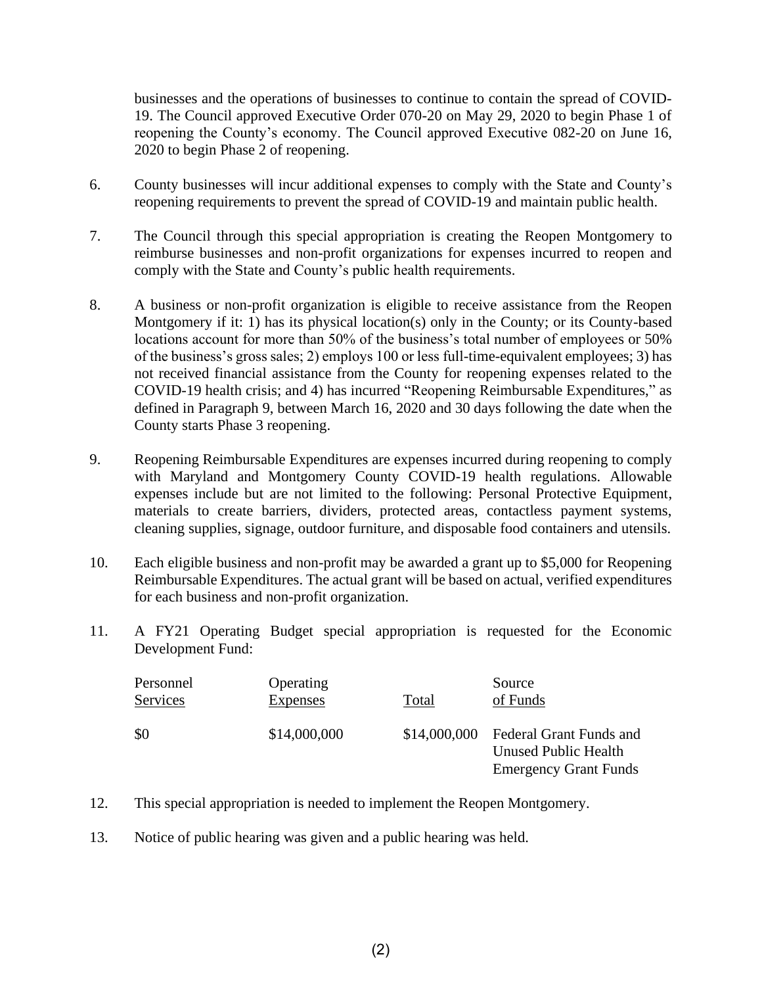businesses and the operations of businesses to continue to contain the spread of COVID-19. The Council approved Executive Order 070-20 on May 29, 2020 to begin Phase 1 of reopening the County's economy. The Council approved Executive 082-20 on June 16, 2020 to begin Phase 2 of reopening.

- 6. County businesses will incur additional expenses to comply with the State and County's reopening requirements to prevent the spread of COVID-19 and maintain public health.
- 7. The Council through this special appropriation is creating the Reopen Montgomery to reimburse businesses and non-profit organizations for expenses incurred to reopen and comply with the State and County's public health requirements.
- 8. A business or non-profit organization is eligible to receive assistance from the Reopen Montgomery if it: 1) has its physical location(s) only in the County; or its County-based locations account for more than 50% of the business's total number of employees or 50% of the business's gross sales; 2) employs 100 or less full-time-equivalent employees; 3) has not received financial assistance from the County for reopening expenses related to the COVID-19 health crisis; and 4) has incurred "Reopening Reimbursable Expenditures," as defined in Paragraph 9, between March 16, 2020 and 30 days following the date when the County starts Phase 3 reopening.
- 9. Reopening Reimbursable Expenditures are expenses incurred during reopening to comply with Maryland and Montgomery County COVID-19 health regulations. Allowable expenses include but are not limited to the following: Personal Protective Equipment, materials to create barriers, dividers, protected areas, contactless payment systems, cleaning supplies, signage, outdoor furniture, and disposable food containers and utensils.
- 10. Each eligible business and non-profit may be awarded a grant up to \$5,000 for Reopening Reimbursable Expenditures. The actual grant will be based on actual, verified expenditures for each business and non-profit organization.
- 11. A FY21 Operating Budget special appropriation is requested for the Economic Development Fund:

| Personnel | Operating       | Total        | Source                                                                                 |
|-----------|-----------------|--------------|----------------------------------------------------------------------------------------|
| Services  | <b>Expenses</b> |              | of Funds                                                                               |
| \$0       | \$14,000,000    | \$14,000,000 | Federal Grant Funds and<br><b>Unused Public Health</b><br><b>Emergency Grant Funds</b> |

- 12. This special appropriation is needed to implement the Reopen Montgomery.
- 13. Notice of public hearing was given and a public hearing was held.